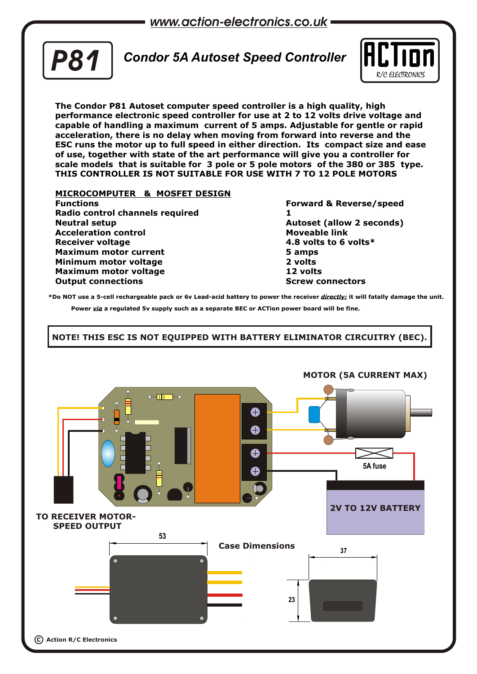*www.action-electronics.co.uk*



# *Condor 5A Autoset Speed Controller P81*



**The Condor P81 Autoset computer speed controller is a high quality, high performance electronic speed controller for use at 2 to 12 volts drive voltage and capable of handling a maximum current of 5 amps. Adjustable for gentle or rapid acceleration, there is no delay when moving from forward into reverse and the ESC runs the motor up to full speed in either direction. Its compact size and ease of use, together with state of the art performance will give you a controller for scale models that is suitable for 3 pole or 5 pole motors of the 380 or 385 type. THIS CONTROLLER IS NOT SUITABLE FOR USE WITH 7 TO 12 POLE MOTORS**

### **MICROCOMPUTER & MOSFET DESIGN**

**Functions Forward & Reverse/speed Radio control channels required 1 Neutral setup Autoset (allow 2 seconds) Acceleration control Moveable link Receiver voltage 4.8 volts to 6 volts\* Maximum motor current 5 amps Minimum motor voltage 2 volts Maximum motor voltage 12 volts Output connections Screw connectors Screw connectors** 

**\*Do NOT use a 5-cell rechargeable pack or 6v Lead-acid battery to power the receiver** *directly;* **it will fatally damage the unit. Power** *via* **a regulated 5v supply such as a separate BEC or ACTion power board will be fine.**

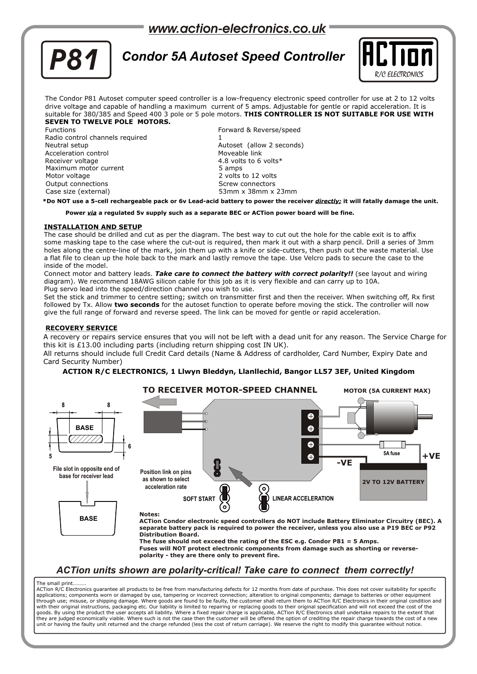## *www.action-electronics.co.uk*



# *Condor 5A Autoset Speed Controller P81*



The Condor P81 Autoset computer speed controller is a low-frequency electronic speed controller for use at 2 to 12 volts drive voltage and capable of handling a maximum current of 5 amps. Adjustable for gentle or rapid acceleration. It is suitable for 380/385 and Speed 400 3 pole or 5 pole motors. **THIS CONTROLLER IS NOT SUITABLE FOR USE WITH SEVEN TO TWELVE POLE MOTORS.**

Functions Forward & Reverse/speed Radio control channels required Neutral setup Autoset (allow 2 seconds) Acceleration control Receiver voltage 1.1 and 1.8 volts to 6 volts \* 1.8 volts \* 1.8 volts \* 1.8 volts \* 1.8 volts \* 1.8 volts \* 1. Maximum motor current Motor voltage 2 volts to 12 volts Output connections and the Screw connectors of the Screw connectors Case size (external) 53mm x 38mm x 23mm

**\*Do NOT use a 5-cell rechargeable pack or 6v Lead-acid battery to power the receiver** *directly;* **it will fatally damage the unit.** 

**Power** *via* **a regulated 5v supply such as a separate BEC or ACTion power board will be fine.**

#### **INSTALLATION AND SETUP**

The case should be drilled and cut as per the diagram. The best way to cut out the hole for the cable exit is to affix some masking tape to the case where the cut-out is required, then mark it out with a sharp pencil. Drill a series of 3mm holes along the centre-line of the mark, join them up with a knife or side-cutters, then push out the waste material. Use a flat file to clean up the hole back to the mark and lastly remove the tape. Use Velcro pads to secure the case to the inside of the model.

Connect motor and battery leads. *Take care to connect the battery with correct polarity!!* (see layout and wiring diagram). We recommend 18AWG silicon cable for this job as it is very flexible and can carry up to 10A. Plug servo lead into the speed/direction channel you wish to use.

Set the stick and trimmer to centre setting; switch on transmitter first and then the receiver. When switching off, Rx first followed by Tx. Allow **two seconds** for the autoset function to operate before moving the stick. The controller will now give the full range of forward and reverse speed. The link can be moved for gentle or rapid acceleration.

#### **RECOVERY SERVICE**

A recovery or repairs service ensures that you will not be left with a dead unit for any reason. The Service Charge for this kit is £13.00 including parts (including return shipping cost IN UK).

All returns should include full Credit Card details (Name & Address of cardholder, Card Number, Expiry Date and Card Security Number)

### **ACTION R/C ELECTRONICS, 1 Llwyn Bleddyn, Llanllechid, Bangor LL57 3EF, United Kingdom**



### *ACTion units shown are polarity-critical! Take care to connect them correctly!*

#### The small print.

ACTion R/C Electronics guarantee all products to be free from manufacturing defects for 12 months from date of purchase. This does not cover suitability for specific applications; components worn or damaged by use, tampering or incorrect connection; alteration to original components; damage to batteries or other equipment through use; misuse, or shipping damage. Where goods are found to be faulty, the customer shall return them to ACTion R/C Electronics in their original condition and<br>with their original instructions, packaging etc. Our lia goods. By using the product the user accepts all liability. Where a fixed repair charge is applicable, ACTion R/C Electronics shall undertake repairs to the extent that they are judged economically viable. Where such is not the case then the customer will be offered the option of crediting the repair charge towards the cost of a new unit or having the faulty unit returned and the charge refunded (less the cost of return carriage). We reserve the right to modify this guarantee without notice.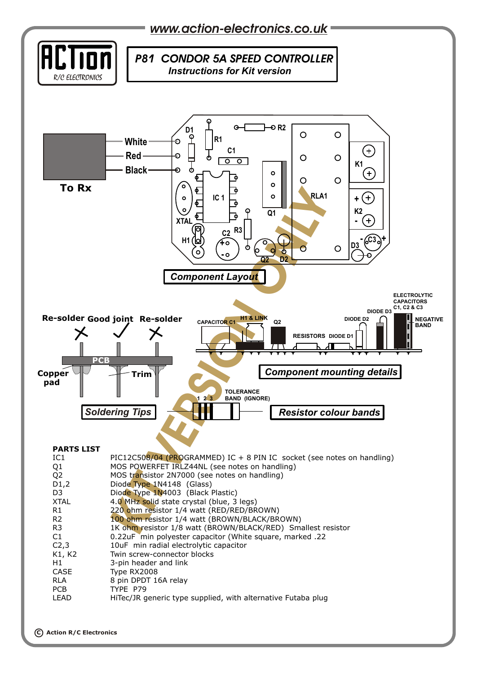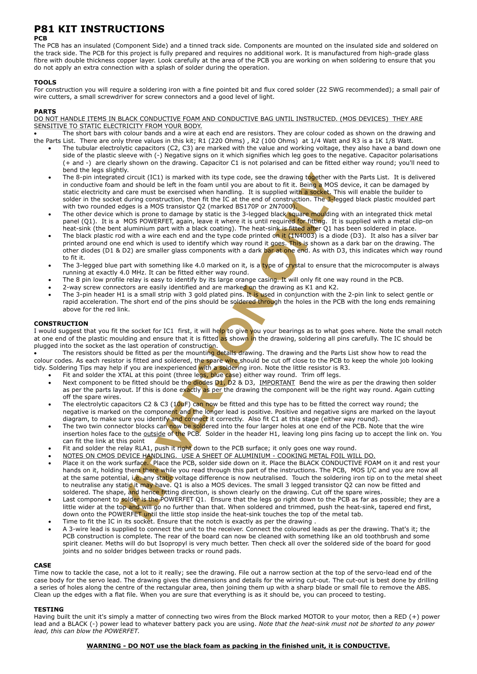## **P81 KIT INSTRUCTIONS**

#### **PCB**

The PCB has an insulated (Component Side) and a tinned track side. Components are mounted on the insulated side and soldered on the track side. The PCB for this project is fully prepared and requires no additional work. It is manufactured from high-grade glass fibre with double thickness copper layer. Look carefully at the area of the PCB you are working on when soldering to ensure that you do not apply an extra connection with a splash of solder during the operation.

#### **TOOLS**

For construction you will require a soldering iron with a fine pointed bit and flux cored solder (22 SWG recommended); a small pair of wire cutters, a small screwdriver for screw connectors and a good level of light.

#### **PARTS**

DO NOT HANDLE ITEMS IN BLACK CONDUCTIVE FOAM AND CONDUCTIVE BAG UNTIL INSTRUCTED. (MOS DEVICES) THEY ARE SENSITIVE TO STATIC ELECTRICITY FROM YOUR BODY.

 The short bars with colour bands and a wire at each end are resistors. They are colour coded as shown on the drawing and the Parts List. There are only three values in this kit; R1 (220 Ohms) , R2 (100 Ohms) at 1/4 Watt and R3 is a 1K 1/8 Watt.

- The tubular electrolytic capacitors (C2, C3) are marked with the value and working voltage, they also have a band down one side of the plastic sleeve with (-) Negative signs on it which signifies which leg goes to the negative. Capacitor polarisations (+ and -) are clearly shown on the drawing. Capacitor C1 is not polarised and can be fitted either way round; you'll need to bend the legs slightly.
- ng together with the Being a MOS dev<br>**Kind a Socket**. This where the Socket.<br>**The S-legged** The 8-pin integrated circuit (IC1) is marked with its type code, see the drawing together with the Parts List. It is delivered in conductive foam and should be left in the foam until you are about to fit it. Being a MOS device, it can be damaged by static electricity and care must be exercised when handling. It is supplied with a socket. This will enable the builder to solder in the socket during construction, then fit the IC at the end of construction. The 3-legged black plastic moulded part with two rounded edges is a MOS transistor Q2 (marked BS170P or 2N7000).
- The other device which is prone to damage by static is the 3-legged black square moulding with an integrated thick metal panel (Q1). It is a MOS POWERFET, again, leave it where it is until required for fitting. It is supplied with a metal clip-on heat-sink (the bent aluminium part with a black coating). The heat-sink is fitted after Q1 has been soldered in place.
- Is supplied with a socket. If<br>the different of construction. The 3-leg<br>good black square moulding<br>good black square moulding<br>until required for fitting. It is<br>neat-sink is fitted after Q1 has<br>ind it goes. This is shown as<br> The black plastic rod with a wire each end and the type code printed on it (1N4003) is a diode (D3). It also has a silver bar printed around one end which is used to identify which way round it goes. This is shown as a dark bar on the drawing. The other diodes (D1 & D2) are smaller glass components with a dark bar at one end. As with D3, this indicates which way round to fit it.
- The 3-legged blue part with something like 4.0 marked on it, is a type of crystal to ensure that the microcomputer is always running at exactly 4.0 MHz. It can be fitted either way round.
- The 8 pin low profile relay is easy to identify by its large orange casing. It will only fit one way round in the PCB.
- 2-way screw connectors are easily identified and are marked on the drawing as K1 and K2.
- d and are marked on the drawing<br>gold plated pins. It is used in comparison the soldered through the<br>is should be soldered through the<br>it is fitted as shown in the drawing<br>truction.<br>bunting details drawing. The draw<br>the spa The 3-pin header H1 is a small strip with 3 gold plated pins. It is used in conjunction with the 2-pin link to select gentle or rapid acceleration. The short end of the pins should be soldered through the holes in the PCB with the long ends remaining above for the red link.

#### **CONSTRUCTION**

I would suggest that you fit the socket for IC1 first, it will help to give you your bearings as to what goes where. Note the small notch at one end of the plastic moulding and ensure that it is fitted as shown in the drawing, soldering all pins carefully. The IC should be plugged into the socket as the last operation of construction.

The resistors should be fitted as per the mounting details drawing. The drawing and the Parts List show how to read the colour codes. As each resistor is fitted and soldered, the spare wire should be cut off close to the PCB to keep the whole job looking tidy. Soldering Tips may help if you are inexperienced with a soldering iron. Note the little resistor is R3.

- Fit and solder the XTAL at this point (three legs, blue case) either way round. Trim off legs.
- point (times legs, bide Lass<br>hould be the diodes D1, D2<br>is done exactly as per the c<br>& C3 (10uF) can now be fitt<br>pponent and the longer lead<br>entify and connect it correct<br>can now be soldered into t<br>side of the PCB. Solder Next component to be fitted should be the diodes D1, D2 & D3, IMPORTANT Bend the wire as per the drawing then solder as per the parts layout. If this is done exactly as per the drawing the component will be the right way round. Again cutting off the spare wires.
- The electrolytic capacitors C2 & C3 (10uF) can now be fitted and this type has to be fitted the correct way round; the negative is marked on the component and the longer lead is positive. Positive and negative signs are marked on the layout diagram, to make sure you identify and connect it correctly. Also fit C1 at this stage (either way round).
- The two twin connector blocks can now be soldered into the four larger holes at one end of the PCB. Note that the wire insertion holes face to the outside of the PCB. Solder in the header H1, leaving long pins facing up to accept the link on. You can fit the link at this point
- Fit and solder the relay RLA1, push it right down to the PCB surface; it only goes one way round.
- NOTES ON CMOS DEVICE HANDLING. USE A SHEET OF ALUMINIUM COOKING METAL FOIL WILL DO.
- DEVICE HANDLING. US<br>
k surface. Place the Po<br>
g them there while you<br>
tial, i.e. any static voltatic<br>
tatic it may have. Q1 is<br>
be, and hence fitting different<br>
solder is the POWERFI<br>
op and will go no furth<br>
WERFET until Place it on the work surface. Place the PCB, solder side down on it. Place the BLACK CONDUCTIVE FOAM on it and rest your hands on it, holding them there while you read through this part of the instructions. The PCB, MOS I/C and you are now all at the same potential, i.e. any static voltage difference is now neutralised. Touch the soldering iron tip on to the metal sheet to neutralise any static it may have. Q1 is also a MOS devices. The small 3 legged transistor Q2 can now be fitted and soldered. The shape, and hence fitting direction, is shown clearly on the drawing. Cut off the spare wires.
- Last component to solder is the POWERFET Q1. Ensure that the legs go right down to the PCB as far as possible; they are a little wider at the top and will go no further than that. When soldered and trimmed, push the heat-sink, tapered end first, down onto the POWERFET until the little stop inside the heat-sink touches the top of the metal tab.
- Time to fit the IC in its socket. Ensure that the notch is exactly as per the drawing
- A 3-wire lead is supplied to connect the unit to the receiver. Connect the coloured leads as per the drawing. That's it; the PCB construction is complete. The rear of the board can now be cleaned with something like an old toothbrush and some spirit cleaner. Meths will do but Isopropyl is very much better. Then check all over the soldered side of the board for good joints and no solder bridges between tracks or round pads.

#### **CASE**

Time now to tackle the case, not a lot to it really; see the drawing. File out a narrow section at the top of the servo-lead end of the case body for the servo lead. The drawing gives the dimensions and details for the wiring cut-out. The cut-out is best done by drilling a series of holes along the centre of the rectangular area, then joining them up with a sharp blade or small file to remove the ABS. Clean up the edges with a flat file. When you are sure that everything is as it should be, you can proceed to testing.

#### **TESTING**

Having built the unit it's simply a matter of connecting two wires from the Block marked MOTOR to your motor, then a RED (+) power lead and a BLACK (-) power lead to whatever battery pack you are using. *Note that the heat-sink must not be shorted to any power lead, this can blow the POWERFET.*

#### **WARNING - DO NOT use the black foam as packing in the finished unit, it is CONDUCTIVE.**